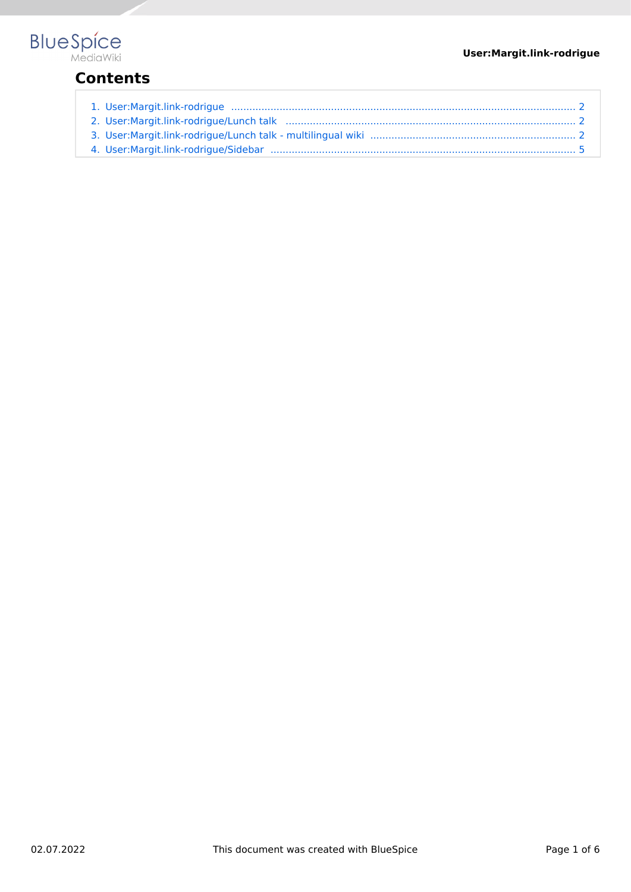

## **Contents**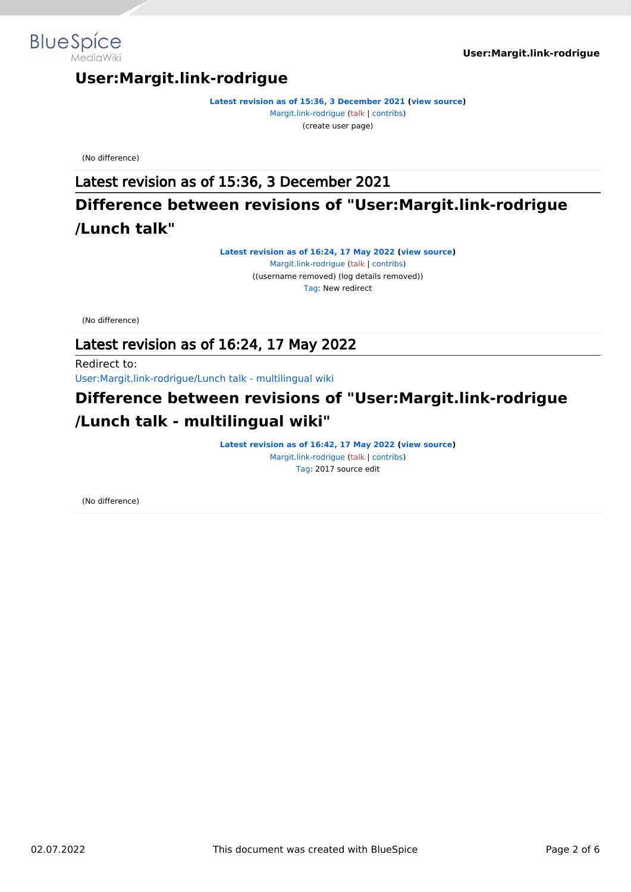



**[Latest revision as of 15:36, 3 December 2021](#page-1-0) [\(view source\)](#page-1-0)** [Margit.link-rodrigue](#page-1-0) ([talk](https://en.wiki.bluespice.com/w/index.php?title=User_talk:Margit.link-rodrigue&action=view) | [contribs](https://en.wiki.bluespice.com/wiki/Special:Contributions/Margit.link-rodrigue)) (create user page)

(No difference)

<span id="page-1-0"></span>**BlueSpice** 

MediaWiki

Latest revision as of 15:36, 3 December 2021

## <span id="page-1-1"></span>**Difference between revisions of "User:Margit.link-rodrigue /Lunch talk"**

**[Latest revision as of 16:24, 17 May 2022](#page-1-1) ([view source\)](#page-1-1)** [Margit.link-rodrigue](#page-1-0) ([talk](https://en.wiki.bluespice.com/w/index.php?title=User_talk:Margit.link-rodrigue&action=view) | [contribs](https://en.wiki.bluespice.com/wiki/Special:Contributions/Margit.link-rodrigue)) ((username removed) (log details removed)) [Tag](https://en.wiki.bluespice.com/wiki/Special:Tags): New redirect

(No difference)

#### Latest revision as of 16:24, 17 May 2022

Redirect to:

[User:Margit.link-rodrigue/Lunch talk - multilingual wiki](#page-1-2)

## <span id="page-1-2"></span>**Difference between revisions of "User:Margit.link-rodrigue /Lunch talk - multilingual wiki"**

**[Latest revision as of 16:42, 17 May 2022](#page-1-2) ([view source\)](#page-1-2)** [Margit.link-rodrigue](#page-1-0) ([talk](https://en.wiki.bluespice.com/w/index.php?title=User_talk:Margit.link-rodrigue&action=view) | [contribs](https://en.wiki.bluespice.com/wiki/Special:Contributions/Margit.link-rodrigue)) [Tag:](https://en.wiki.bluespice.com/wiki/Special:Tags) 2017 source edit

(No difference)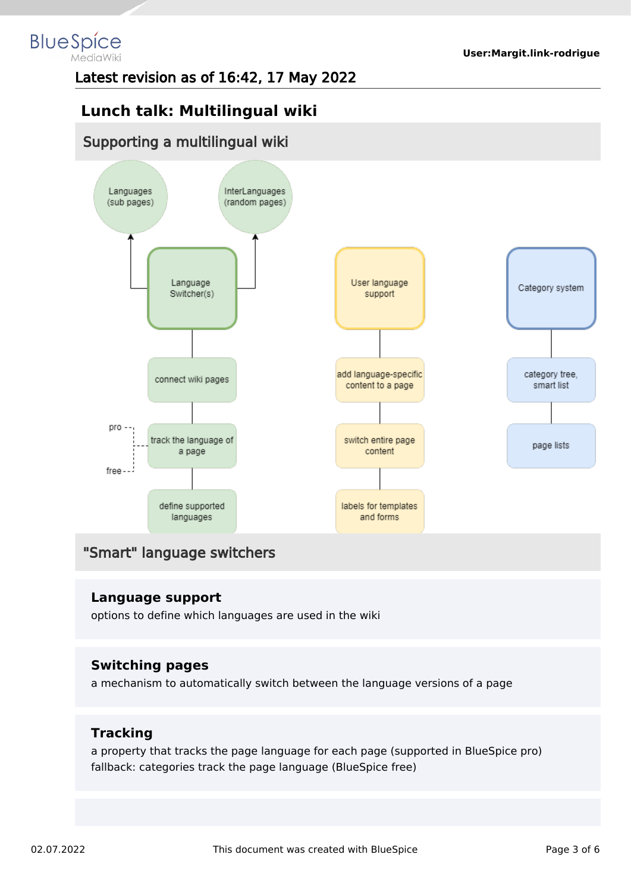#### **BlueSpice** MediaWiki

Latest revision as of 16:42, 17 May 2022

## **Lunch talk: Multilingual wiki**

### Supporting a multilingual wiki



## "Smart" language switchers

#### **Language support**

options to define which languages are used in the wiki

#### **Switching pages**

a mechanism to automatically switch between the language versions of a page

#### **Tracking**

a property that tracks the page language for each page (supported in BlueSpice pro) fallback: categories track the page language (BlueSpice free)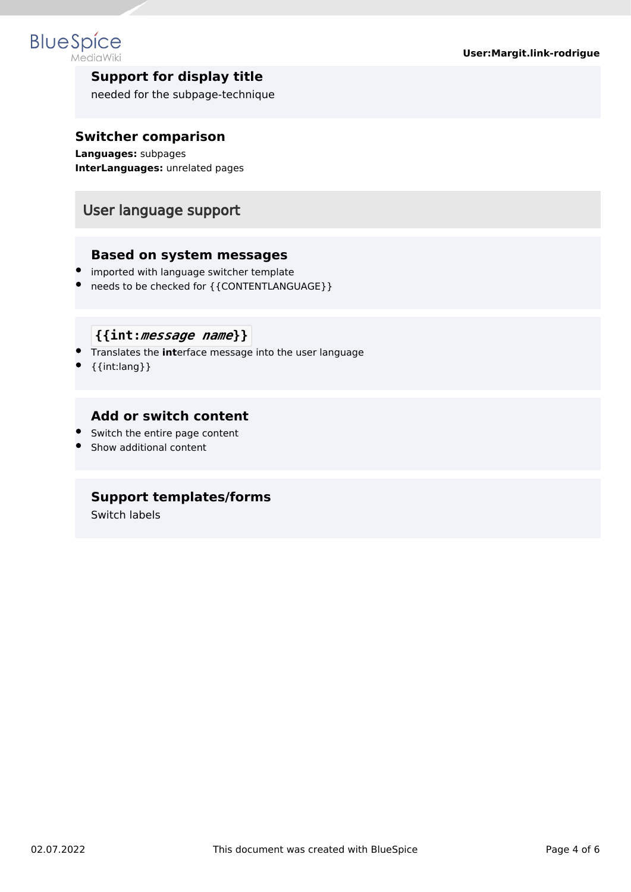

#### **Support for display title**

needed for the subpage-technique

#### **Switcher comparison**

**Languages:** subpages **InterLanguages:** unrelated pages

## User language support

#### **Based on system messages**

- **•** imported with language switcher template
- needs to be checked for {{CONTENTLANGUAGE}}

#### **{{int:***message name***}}**

- Translates the **int**erface message into the user language
- $\bullet$  {{int:lang}}

#### **Add or switch content**

- Switch the entire page content
- Show additional content

#### **Support templates/forms**

Switch labels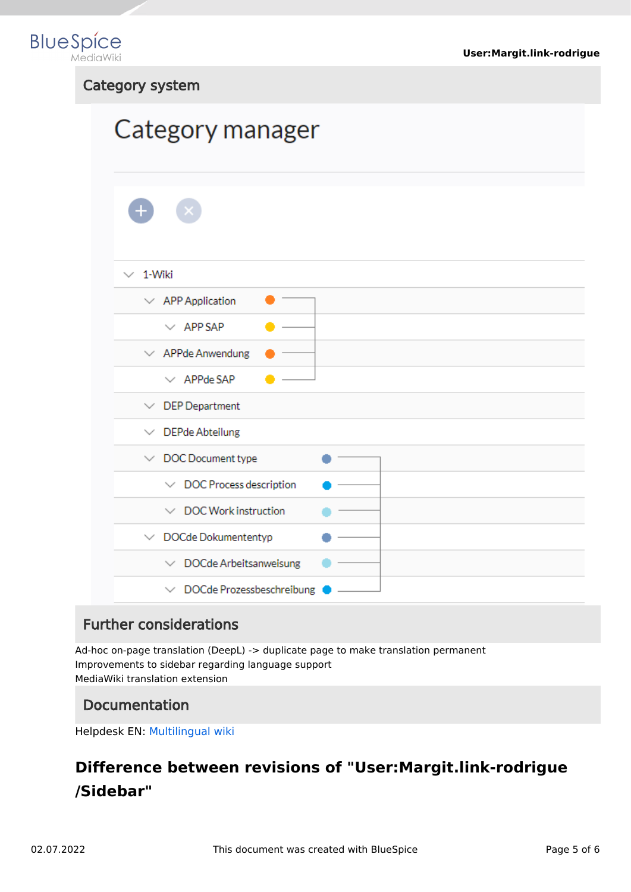

#### Category system

# Category manager

| 1-Wiki<br>$\checkmark$                    |  |
|-------------------------------------------|--|
| $\vee$ APP Application                    |  |
| $\vee$ APP SAP                            |  |
| $\vee$ APPde Anwendung                    |  |
| $\vee$ APPde SAP                          |  |
| <b>DEP</b> Department<br>$\checkmark$     |  |
| $\vee$ DEPde Abteilung                    |  |
| $\vee$ DOC Document type                  |  |
| $\vee$ DOC Process description            |  |
| $\vee$ DOC Work instruction               |  |
| $\vee$ DOCde Dokumententyp                |  |
| $\vee$ DOCde Arbeitsanweisung             |  |
| DOCde Prozessbeschreibung<br>$\checkmark$ |  |

## Further considerations

Ad-hoc on-page translation (DeepL) -> duplicate page to make translation permanent Improvements to sidebar regarding language support MediaWiki translation extension

## Documentation

Helpdesk EN: [Multilingual wiki](https://en.wiki.bluespice.com/wiki/Multilingual_wiki)

# <span id="page-4-0"></span>**Difference between revisions of "User:Margit.link-rodrigue /Sidebar"**